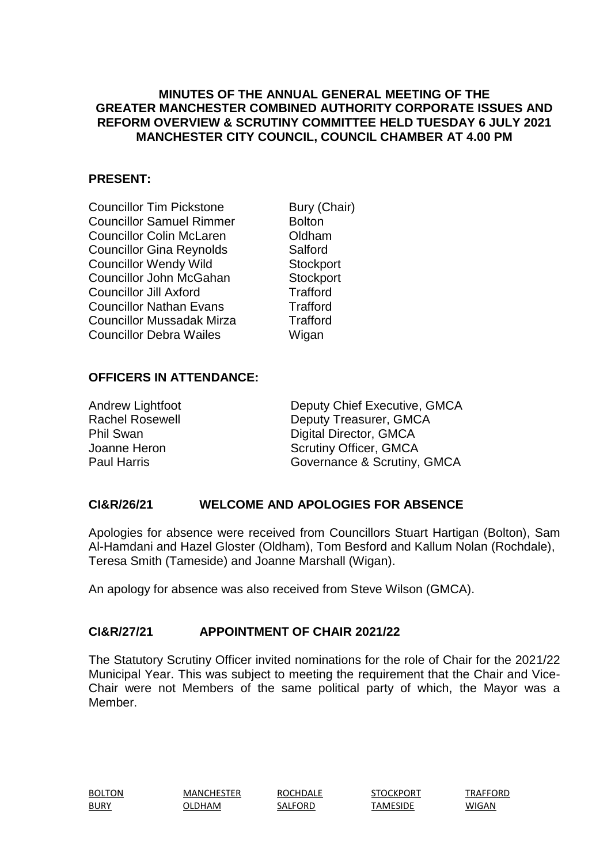## **MINUTES OF THE ANNUAL GENERAL MEETING OF THE GREATER MANCHESTER COMBINED AUTHORITY CORPORATE ISSUES AND REFORM OVERVIEW & SCRUTINY COMMITTEE HELD TUESDAY 6 JULY 2021 MANCHESTER CITY COUNCIL, COUNCIL CHAMBER AT 4.00 PM**

## **PRESENT:**

Councillor Tim Pickstone Bury (Chair) Councillor Samuel Rimmer Bolton Councillor Colin McLaren **Councillor** Colin McLaren Councillor Gina Reynolds Salford Councillor Wendy Wild Stockport Councillor John McGahan Stockport Councillor Jill Axford Trafford Councillor Nathan Evans Trafford Councillor Mussadak Mirza Trafford Councillor Debra Wailes **Wigan** 

## **OFFICERS IN ATTENDANCE:**

Andrew Lightfoot Deputy Chief Executive, GMCA Rachel Rosewell **Deputy Treasurer, GMCA** Phil Swan Digital Director, GMCA Joanne Heron Scrutiny Officer, GMCA Paul Harris **Paul Harris** Governance & Scrutiny, GMCA

# **CI&R/26/21 WELCOME AND APOLOGIES FOR ABSENCE**

Apologies for absence were received from Councillors Stuart Hartigan (Bolton), Sam Al-Hamdani and Hazel Gloster (Oldham), Tom Besford and Kallum Nolan (Rochdale), Teresa Smith (Tameside) and Joanne Marshall (Wigan).

An apology for absence was also received from Steve Wilson (GMCA).

## **CI&R/27/21 APPOINTMENT OF CHAIR 2021/22**

The Statutory Scrutiny Officer invited nominations for the role of Chair for the 2021/22 Municipal Year. This was subject to meeting the requirement that the Chair and Vice-Chair were not Members of the same political party of which, the Mayor was a Member.

BOLTON MANCHESTER ROCHDALE STOCKPORT TRAFFORD BURY OLDHAM SALFORD TAMESIDE WIGAN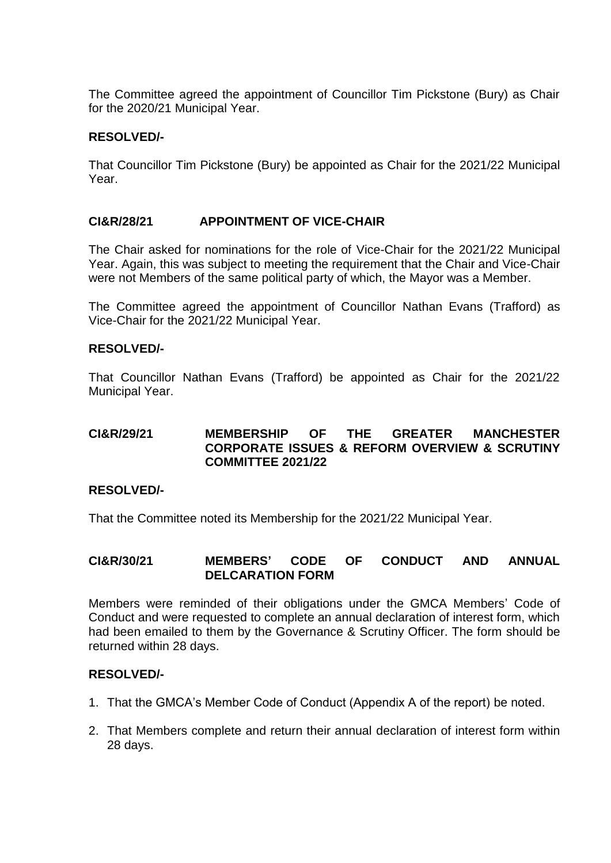The Committee agreed the appointment of Councillor Tim Pickstone (Bury) as Chair for the 2020/21 Municipal Year.

## **RESOLVED/-**

That Councillor Tim Pickstone (Bury) be appointed as Chair for the 2021/22 Municipal Year.

## **CI&R/28/21 APPOINTMENT OF VICE-CHAIR**

The Chair asked for nominations for the role of Vice-Chair for the 2021/22 Municipal Year. Again, this was subject to meeting the requirement that the Chair and Vice-Chair were not Members of the same political party of which, the Mayor was a Member.

The Committee agreed the appointment of Councillor Nathan Evans (Trafford) as Vice-Chair for the 2021/22 Municipal Year.

## **RESOLVED/-**

That Councillor Nathan Evans (Trafford) be appointed as Chair for the 2021/22 Municipal Year.

## **CI&R/29/21 MEMBERSHIP OF THE GREATER MANCHESTER CORPORATE ISSUES & REFORM OVERVIEW & SCRUTINY COMMITTEE 2021/22**

#### **RESOLVED/-**

That the Committee noted its Membership for the 2021/22 Municipal Year.

## **CI&R/30/21 MEMBERS' CODE OF CONDUCT AND ANNUAL DELCARATION FORM**

Members were reminded of their obligations under the GMCA Members' Code of Conduct and were requested to complete an annual declaration of interest form, which had been emailed to them by the Governance & Scrutiny Officer. The form should be returned within 28 days.

#### **RESOLVED/-**

- 1. That the GMCA's Member Code of Conduct (Appendix A of the report) be noted.
- 2. That Members complete and return their annual declaration of interest form within 28 days.